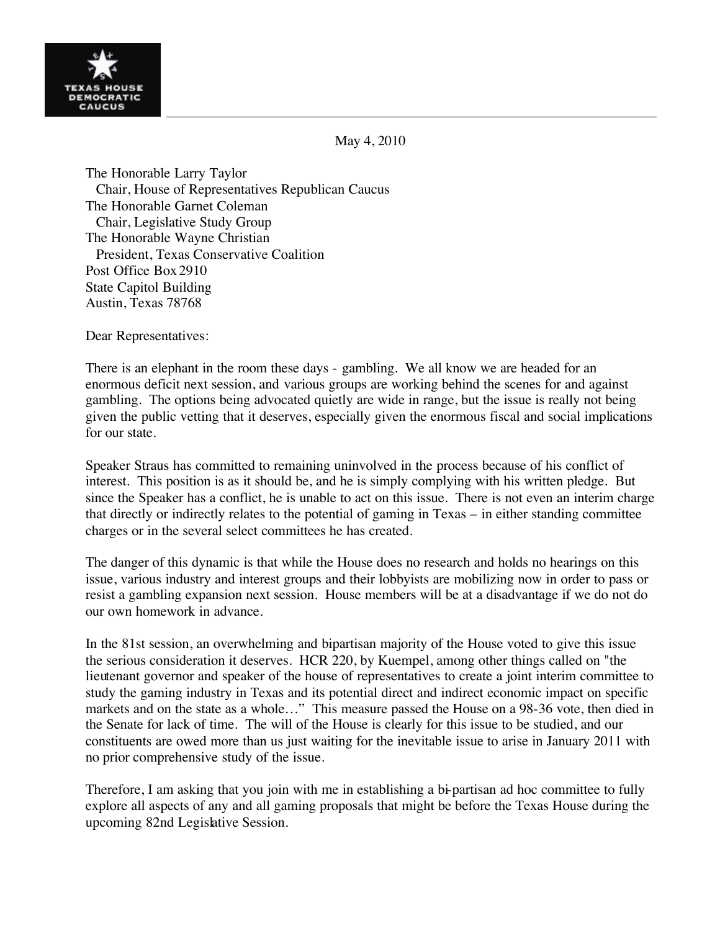

## May 4, 2010

The Honorable Larry Taylor Chair, House of Representatives Republican Caucus The Honorable Garnet Coleman Chair, Legislative Study Group The Honorable Wayne Christian President, Texas Conservative Coalition Post Office Box2910 State Capitol Building Austin, Texas 78768

Dear Representatives:

There is an elephant in the room these days - gambling. We all know we are headed for an enormous deficit next session, and various groups are working behind the scenes for and against gambling. The options being advocated quietly are wide in range, but the issue is really not being given the public vetting that it deserves, especially given the enormous fiscal and social implications for our state.

Speaker Straus has committed to remaining uninvolved in the process because of his conflict of interest. This position is as it should be, and he is simply complying with his written pledge. But since the Speaker has a conflict, he is unable to act on this issue. There is not even an interim charge that directly or indirectly relates to the potential of gaming in Texas – in either standing committee charges or in the several select committees he has created.

The danger of this dynamic is that while the House does no research and holds no hearings on this issue, various industry and interest groups and their lobbyists are mobilizing now in order to pass or resist a gambling expansion next session. House members will be at a disadvantage if we do not do our own homework in advance.

In the 81st session, an overwhelming and bipartisan majority of the House voted to give this issue the serious consideration it deserves. HCR 220, by Kuempel, among other things called on "the lieutenant governor and speaker of the house of representatives to create a joint interim committee to study the gaming industry in Texas and its potential direct and indirect economic impact on specific markets and on the state as a whole…" This measure passed the House on a 98-36 vote, then died in the Senate for lack of time. The will of the House is clearly for this issue to be studied, and our constituents are owed more than us just waiting for the inevitable issue to arise in January 2011 with no prior comprehensive study of the issue.

Therefore, I am asking that you join with me in establishing a bi-partisan ad hoc committee to fully explore all aspects of any and all gaming proposals that might be before the Texas House during the upcoming 82nd Legislative Session.